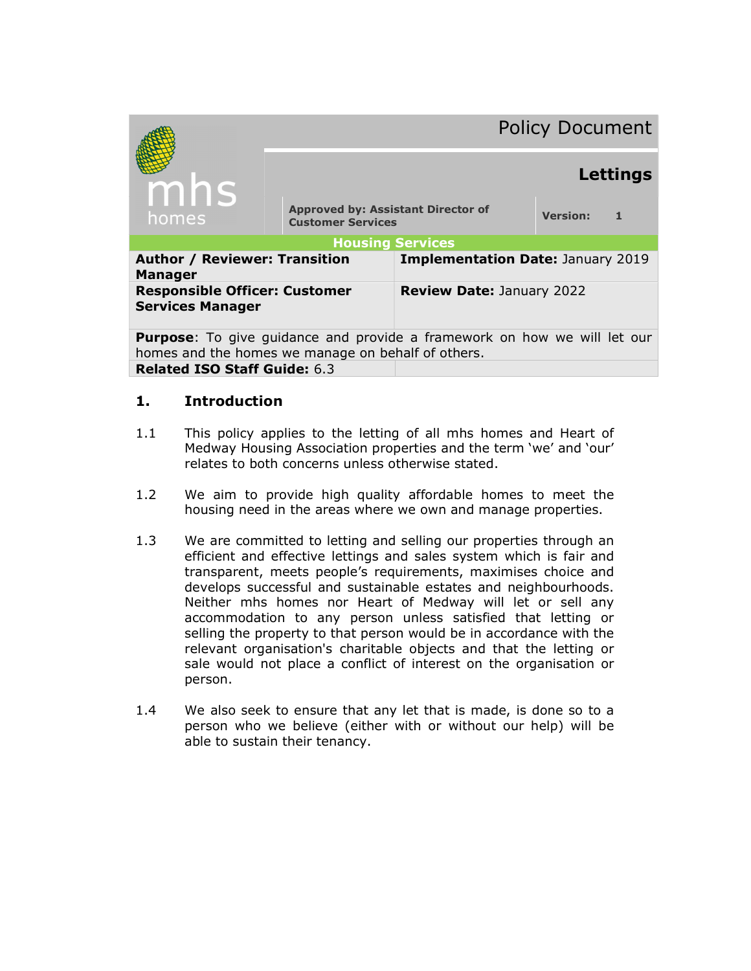|                                                                 | <b>Policy Document</b>                                                |                                                                                 |                 |  |  |
|-----------------------------------------------------------------|-----------------------------------------------------------------------|---------------------------------------------------------------------------------|-----------------|--|--|
| mhs<br>homes                                                    | Lettings                                                              |                                                                                 |                 |  |  |
|                                                                 | <b>Approved by: Assistant Director of</b><br><b>Customer Services</b> |                                                                                 | <b>Version:</b> |  |  |
|                                                                 |                                                                       | <b>Housing Services</b>                                                         |                 |  |  |
| <b>Author / Reviewer: Transition</b><br><b>Manager</b>          |                                                                       | <b>Implementation Date: January 2019</b>                                        |                 |  |  |
| <b>Responsible Officer: Customer</b><br><b>Services Manager</b> |                                                                       | Review Date: January 2022                                                       |                 |  |  |
| homes and the homes we manage on behalf of others.              |                                                                       | <b>Purpose:</b> To give guidance and provide a framework on how we will let our |                 |  |  |
| <b>Related ISO Staff Guide: 6.3</b>                             |                                                                       |                                                                                 |                 |  |  |

# 1. Introduction

- 1.1 This policy applies to the letting of all mhs homes and Heart of Medway Housing Association properties and the term 'we' and 'our' relates to both concerns unless otherwise stated.
- 1.2 We aim to provide high quality affordable homes to meet the housing need in the areas where we own and manage properties.
- 1.3 We are committed to letting and selling our properties through an efficient and effective lettings and sales system which is fair and transparent, meets people's requirements, maximises choice and develops successful and sustainable estates and neighbourhoods. Neither mhs homes nor Heart of Medway will let or sell any accommodation to any person unless satisfied that letting or selling the property to that person would be in accordance with the relevant organisation's charitable objects and that the letting or sale would not place a conflict of interest on the organisation or person.
- 1.4 We also seek to ensure that any let that is made, is done so to a person who we believe (either with or without our help) will be able to sustain their tenancy.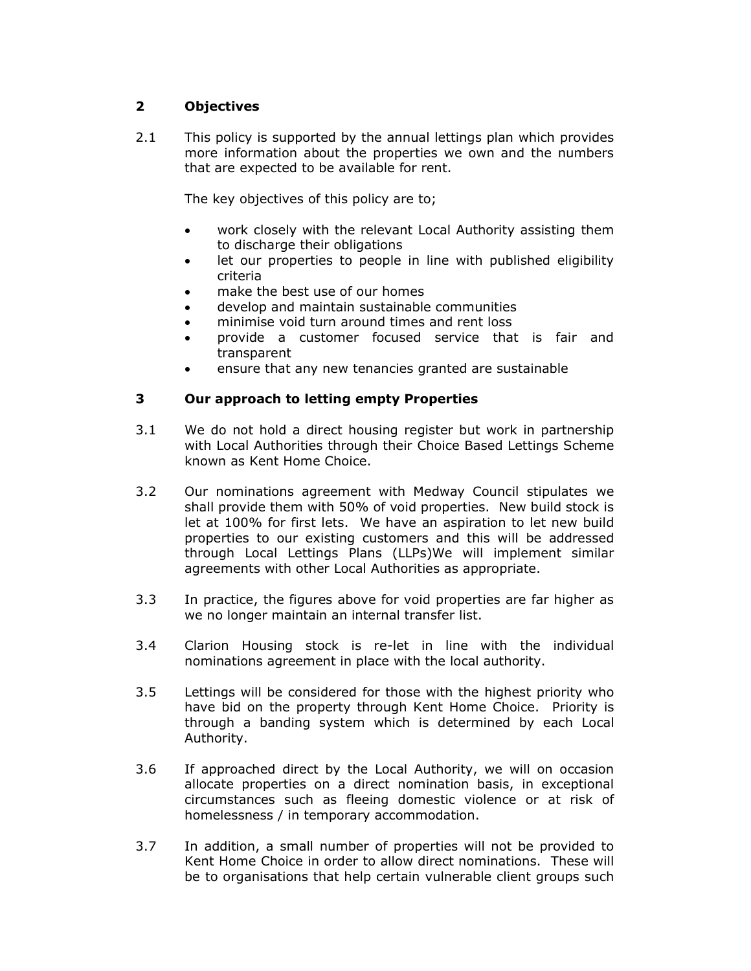## 2 Objectives

2.1 This policy is supported by the annual lettings plan which provides more information about the properties we own and the numbers that are expected to be available for rent.

The key objectives of this policy are to;

- work closely with the relevant Local Authority assisting them to discharge their obligations
- let our properties to people in line with published eligibility criteria
- make the best use of our homes
- develop and maintain sustainable communities
- minimise void turn around times and rent loss
- provide a customer focused service that is fair and transparent
- ensure that any new tenancies granted are sustainable

#### 3 Our approach to letting empty Properties

- 3.1 We do not hold a direct housing register but work in partnership with Local Authorities through their Choice Based Lettings Scheme known as Kent Home Choice.
- 3.2 Our nominations agreement with Medway Council stipulates we shall provide them with 50% of void properties. New build stock is let at 100% for first lets. We have an aspiration to let new build properties to our existing customers and this will be addressed through Local Lettings Plans (LLPs)We will implement similar agreements with other Local Authorities as appropriate.
- 3.3 In practice, the figures above for void properties are far higher as we no longer maintain an internal transfer list.
- 3.4 Clarion Housing stock is re-let in line with the individual nominations agreement in place with the local authority.
- 3.5 Lettings will be considered for those with the highest priority who have bid on the property through Kent Home Choice. Priority is through a banding system which is determined by each Local Authority.
- 3.6 If approached direct by the Local Authority, we will on occasion allocate properties on a direct nomination basis, in exceptional circumstances such as fleeing domestic violence or at risk of homelessness / in temporary accommodation.
- 3.7 In addition, a small number of properties will not be provided to Kent Home Choice in order to allow direct nominations. These will be to organisations that help certain vulnerable client groups such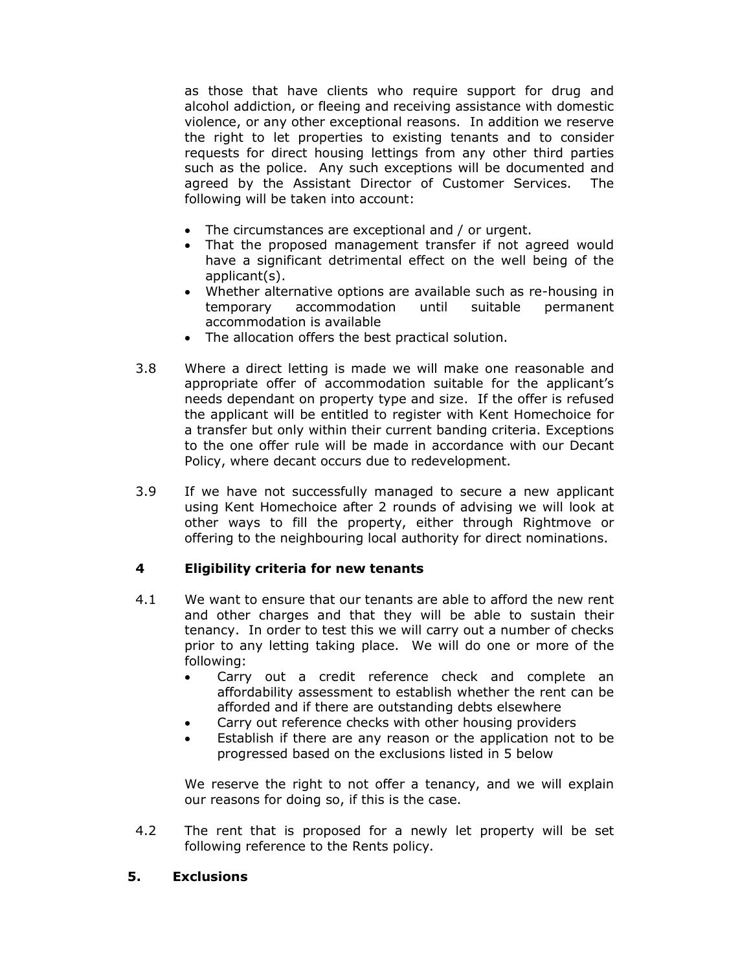as those that have clients who require support for drug and alcohol addiction, or fleeing and receiving assistance with domestic violence, or any other exceptional reasons. In addition we reserve the right to let properties to existing tenants and to consider requests for direct housing lettings from any other third parties such as the police. Any such exceptions will be documented and agreed by the Assistant Director of Customer Services. The following will be taken into account:

- The circumstances are exceptional and / or urgent.
- That the proposed management transfer if not agreed would have a significant detrimental effect on the well being of the applicant(s).
- Whether alternative options are available such as re-housing in temporary accommodation until suitable permanent accommodation is available
- The allocation offers the best practical solution.
- 3.8 Where a direct letting is made we will make one reasonable and appropriate offer of accommodation suitable for the applicant's needs dependant on property type and size. If the offer is refused the applicant will be entitled to register with Kent Homechoice for a transfer but only within their current banding criteria. Exceptions to the one offer rule will be made in accordance with our Decant Policy, where decant occurs due to redevelopment.
- 3.9 If we have not successfully managed to secure a new applicant using Kent Homechoice after 2 rounds of advising we will look at other ways to fill the property, either through Rightmove or offering to the neighbouring local authority for direct nominations.

#### 4 Eligibility criteria for new tenants

- 4.1 We want to ensure that our tenants are able to afford the new rent and other charges and that they will be able to sustain their tenancy. In order to test this we will carry out a number of checks prior to any letting taking place. We will do one or more of the following:
	- Carry out a credit reference check and complete an affordability assessment to establish whether the rent can be afforded and if there are outstanding debts elsewhere
	- Carry out reference checks with other housing providers
	- Establish if there are any reason or the application not to be progressed based on the exclusions listed in 5 below

We reserve the right to not offer a tenancy, and we will explain our reasons for doing so, if this is the case.

4.2 The rent that is proposed for a newly let property will be set following reference to the Rents policy.

#### 5. Exclusions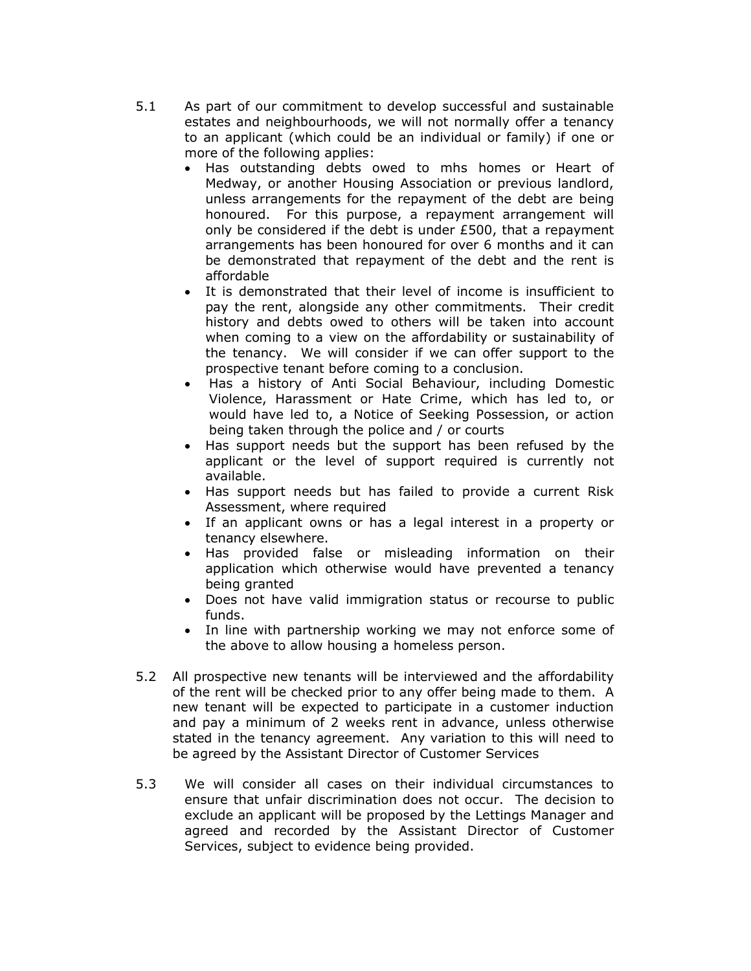- 5.1 As part of our commitment to develop successful and sustainable estates and neighbourhoods, we will not normally offer a tenancy to an applicant (which could be an individual or family) if one or more of the following applies:
	- Has outstanding debts owed to mhs homes or Heart of Medway, or another Housing Association or previous landlord, unless arrangements for the repayment of the debt are being honoured. For this purpose, a repayment arrangement will only be considered if the debt is under £500, that a repayment arrangements has been honoured for over 6 months and it can be demonstrated that repayment of the debt and the rent is affordable
	- It is demonstrated that their level of income is insufficient to pay the rent, alongside any other commitments. Their credit history and debts owed to others will be taken into account when coming to a view on the affordability or sustainability of the tenancy. We will consider if we can offer support to the prospective tenant before coming to a conclusion.
	- Has a history of Anti Social Behaviour, including Domestic Violence, Harassment or Hate Crime, which has led to, or would have led to, a Notice of Seeking Possession, or action being taken through the police and / or courts
	- Has support needs but the support has been refused by the applicant or the level of support required is currently not available.
	- Has support needs but has failed to provide a current Risk Assessment, where required
	- If an applicant owns or has a legal interest in a property or tenancy elsewhere.
	- Has provided false or misleading information on their application which otherwise would have prevented a tenancy being granted
	- Does not have valid immigration status or recourse to public funds.
	- In line with partnership working we may not enforce some of the above to allow housing a homeless person.
- 5.2 All prospective new tenants will be interviewed and the affordability of the rent will be checked prior to any offer being made to them. A new tenant will be expected to participate in a customer induction and pay a minimum of 2 weeks rent in advance, unless otherwise stated in the tenancy agreement. Any variation to this will need to be agreed by the Assistant Director of Customer Services
- 5.3 We will consider all cases on their individual circumstances to ensure that unfair discrimination does not occur. The decision to exclude an applicant will be proposed by the Lettings Manager and agreed and recorded by the Assistant Director of Customer Services, subject to evidence being provided.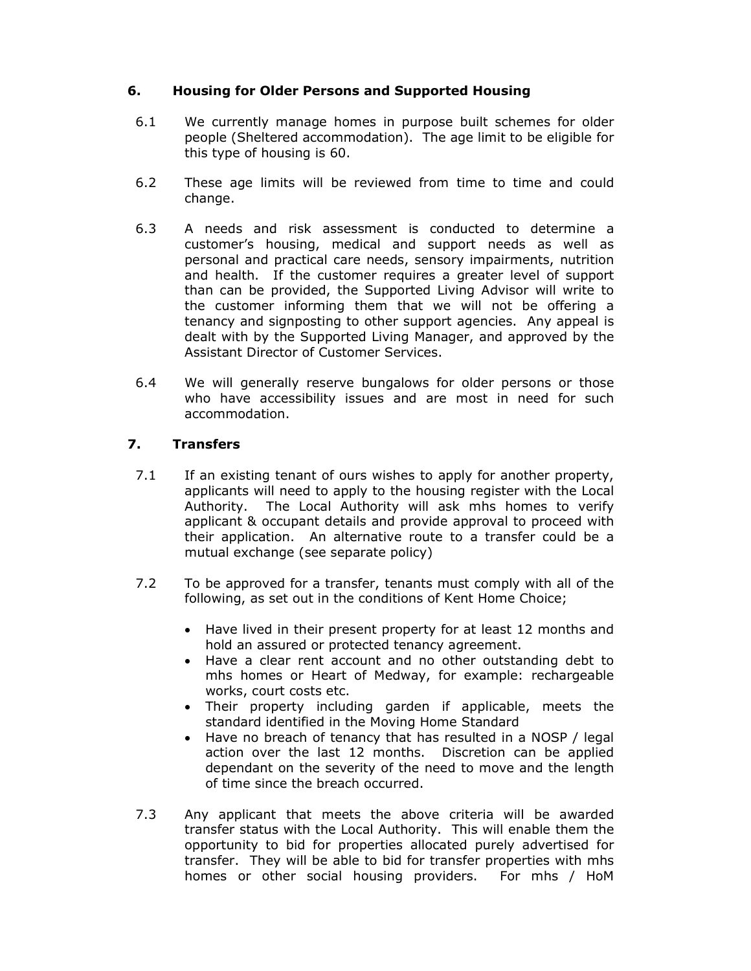### 6. Housing for Older Persons and Supported Housing

- 6.1 We currently manage homes in purpose built schemes for older people (Sheltered accommodation). The age limit to be eligible for this type of housing is 60.
- 6.2 These age limits will be reviewed from time to time and could change.
- 6.3 A needs and risk assessment is conducted to determine a customer's housing, medical and support needs as well as personal and practical care needs, sensory impairments, nutrition and health. If the customer requires a greater level of support than can be provided, the Supported Living Advisor will write to the customer informing them that we will not be offering a tenancy and signposting to other support agencies. Any appeal is dealt with by the Supported Living Manager, and approved by the Assistant Director of Customer Services.
- 6.4 We will generally reserve bungalows for older persons or those who have accessibility issues and are most in need for such accommodation.

## 7. Transfers

- 7.1 If an existing tenant of ours wishes to apply for another property, applicants will need to apply to the housing register with the Local Authority. The Local Authority will ask mhs homes to verify applicant & occupant details and provide approval to proceed with their application. An alternative route to a transfer could be a mutual exchange (see separate policy)
- 7.2 To be approved for a transfer, tenants must comply with all of the following, as set out in the conditions of Kent Home Choice;
	- Have lived in their present property for at least 12 months and hold an assured or protected tenancy agreement.
	- Have a clear rent account and no other outstanding debt to mhs homes or Heart of Medway, for example: rechargeable works, court costs etc.
	- Their property including garden if applicable, meets the standard identified in the Moving Home Standard
	- Have no breach of tenancy that has resulted in a NOSP / legal action over the last 12 months. Discretion can be applied dependant on the severity of the need to move and the length of time since the breach occurred.
- 7.3 Any applicant that meets the above criteria will be awarded transfer status with the Local Authority. This will enable them the opportunity to bid for properties allocated purely advertised for transfer. They will be able to bid for transfer properties with mhs homes or other social housing providers. For mhs / HoM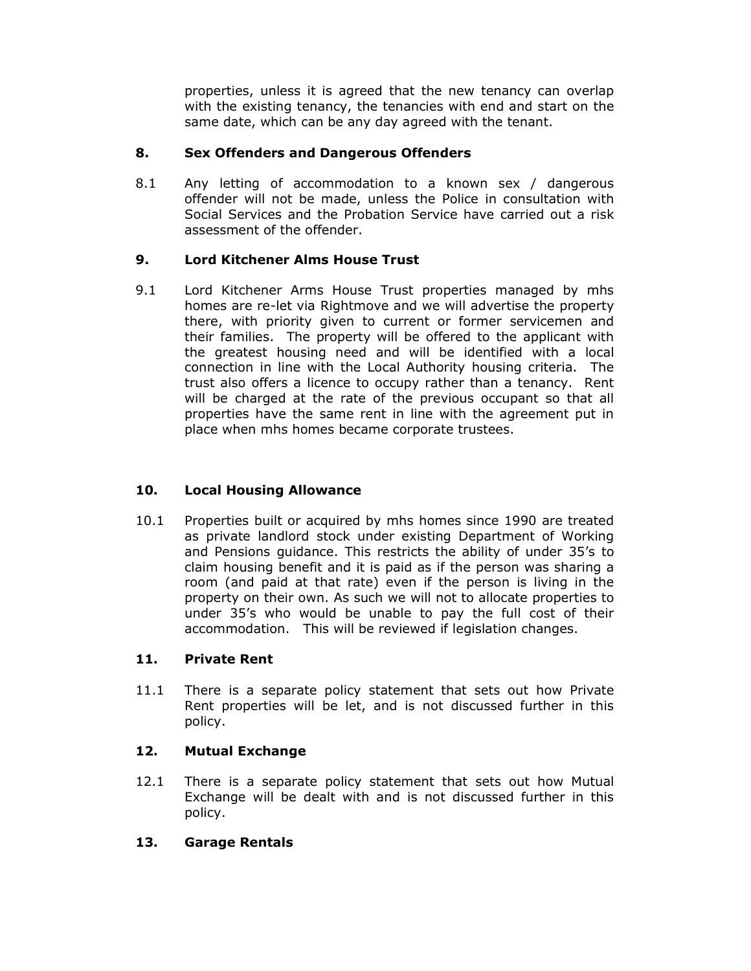properties, unless it is agreed that the new tenancy can overlap with the existing tenancy, the tenancies with end and start on the same date, which can be any day agreed with the tenant.

### 8. Sex Offenders and Dangerous Offenders

8.1 Any letting of accommodation to a known sex / dangerous offender will not be made, unless the Police in consultation with Social Services and the Probation Service have carried out a risk assessment of the offender.

## 9. Lord Kitchener Alms House Trust

9.1 Lord Kitchener Arms House Trust properties managed by mhs homes are re-let via Rightmove and we will advertise the property there, with priority given to current or former servicemen and their families. The property will be offered to the applicant with the greatest housing need and will be identified with a local connection in line with the Local Authority housing criteria. The trust also offers a licence to occupy rather than a tenancy. Rent will be charged at the rate of the previous occupant so that all properties have the same rent in line with the agreement put in place when mhs homes became corporate trustees.

### 10. Local Housing Allowance

10.1 Properties built or acquired by mhs homes since 1990 are treated as private landlord stock under existing Department of Working and Pensions guidance. This restricts the ability of under 35's to claim housing benefit and it is paid as if the person was sharing a room (and paid at that rate) even if the person is living in the property on their own. As such we will not to allocate properties to under 35's who would be unable to pay the full cost of their accommodation. This will be reviewed if legislation changes.

#### 11. Private Rent

11.1 There is a separate policy statement that sets out how Private Rent properties will be let, and is not discussed further in this policy.

#### 12. Mutual Exchange

12.1 There is a separate policy statement that sets out how Mutual Exchange will be dealt with and is not discussed further in this policy.

# 13. Garage Rentals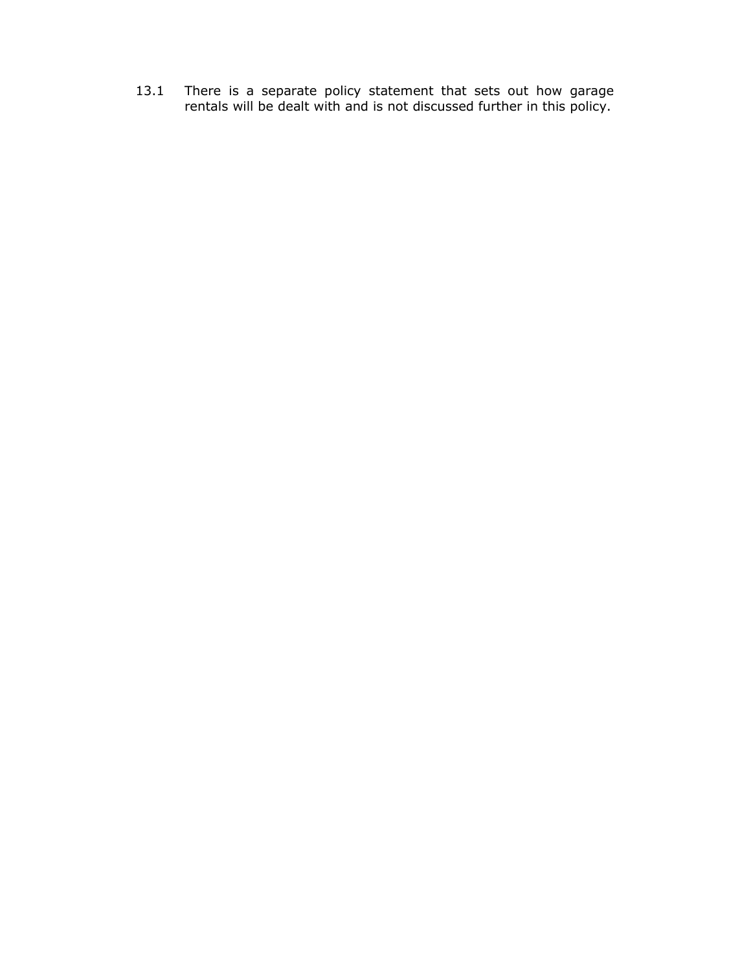13.1 There is a separate policy statement that sets out how garage rentals will be dealt with and is not discussed further in this policy.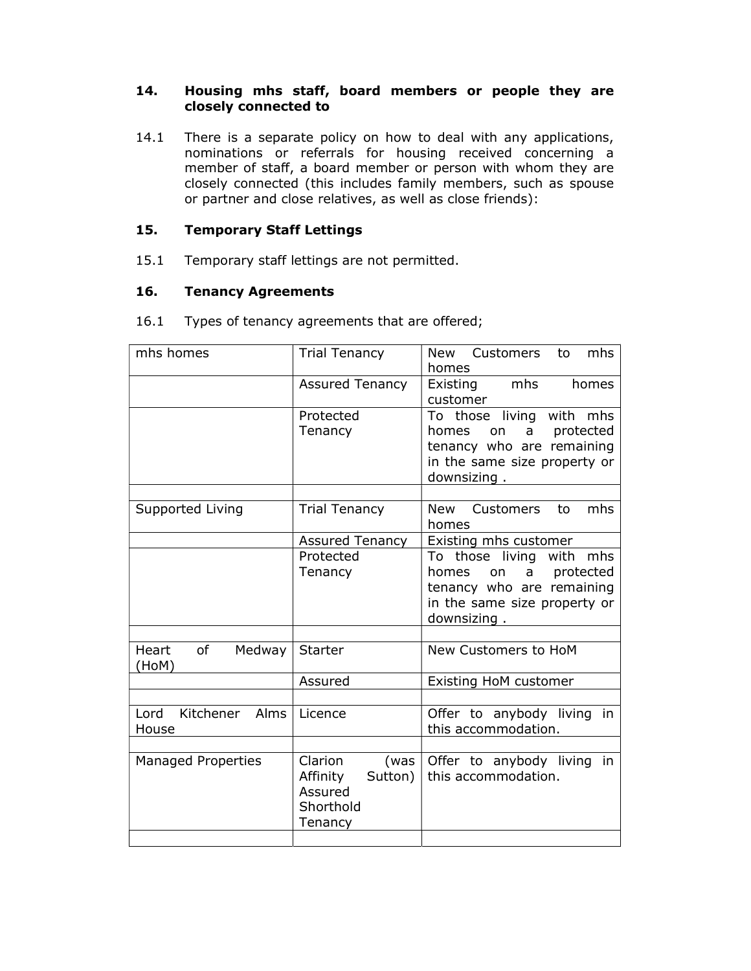#### 14. Housing mhs staff, board members or people they are closely connected to

14.1 There is a separate policy on how to deal with any applications, nominations or referrals for housing received concerning a member of staff, a board member or person with whom they are closely connected (this includes family members, such as spouse or partner and close relatives, as well as close friends):

### 15. Temporary Staff Lettings

15.1 Temporary staff lettings are not permitted.

# 16. Tenancy Agreements

| mhs homes                      | <b>Trial Tenancy</b>                                                      | mhs<br>New Customers<br>to<br>homes                                                                                             |
|--------------------------------|---------------------------------------------------------------------------|---------------------------------------------------------------------------------------------------------------------------------|
|                                | <b>Assured Tenancy</b>                                                    | Existing mhs homes<br>customer                                                                                                  |
|                                | Protected<br>Tenancy                                                      | To those living with mhs<br>homes on a protected<br>tenancy who are remaining<br>in the same size property or<br>downsizing.    |
| Supported Living               | <b>Trial Tenancy</b>                                                      | mhs<br>New Customers to<br>homes                                                                                                |
|                                | Assured Tenancy                                                           | Existing mhs customer                                                                                                           |
|                                | Protected<br>Tenancy                                                      | To those living with mhs<br>on a protected<br>homes<br>tenancy who are remaining<br>in the same size property or<br>downsizing. |
|                                |                                                                           |                                                                                                                                 |
| Heart<br>of<br>Medway<br>(HoM) | Starter                                                                   | New Customers to HoM                                                                                                            |
|                                | Assured                                                                   | Existing HoM customer                                                                                                           |
|                                |                                                                           |                                                                                                                                 |
| Lord Kitchener Alms<br>House   | Licence                                                                   | Offer to anybody living in<br>this accommodation.                                                                               |
| <b>Managed Properties</b>      | Clarion<br>(was<br>Sutton)<br>Affinity<br>Assured<br>Shorthold<br>Tenancy | Offer to anybody living in<br>this accommodation.                                                                               |
|                                |                                                                           |                                                                                                                                 |

16.1 Types of tenancy agreements that are offered;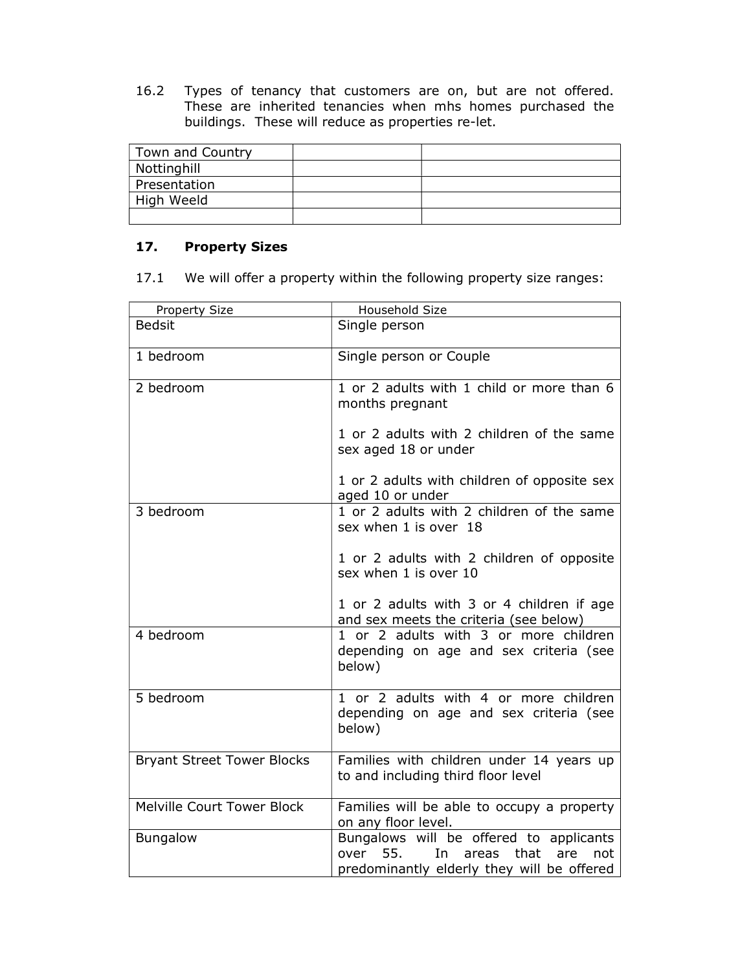16.2 Types of tenancy that customers are on, but are not offered. These are inherited tenancies when mhs homes purchased the buildings. These will reduce as properties re-let.

| Town and Country |  |
|------------------|--|
| Nottinghill      |  |
| Presentation     |  |
| High Weeld       |  |
|                  |  |

## 17. Property Sizes

17.1 We will offer a property within the following property size ranges:

| Property Size                     | Household Size                                                                                                                         |
|-----------------------------------|----------------------------------------------------------------------------------------------------------------------------------------|
| <b>Bedsit</b>                     | Single person                                                                                                                          |
| 1 bedroom                         | Single person or Couple                                                                                                                |
| 2 bedroom                         | 1 or 2 adults with 1 child or more than 6<br>months pregnant                                                                           |
|                                   | 1 or 2 adults with 2 children of the same<br>sex aged 18 or under                                                                      |
|                                   | 1 or 2 adults with children of opposite sex<br>aged 10 or under                                                                        |
| 3 bedroom                         | 1 or 2 adults with 2 children of the same<br>sex when 1 is over 18                                                                     |
|                                   | 1 or 2 adults with 2 children of opposite<br>sex when 1 is over 10                                                                     |
|                                   | 1 or 2 adults with 3 or 4 children if age<br>and sex meets the criteria (see below)                                                    |
| 4 bedroom                         | 1 or 2 adults with 3 or more children<br>depending on age and sex criteria (see<br>below)                                              |
| 5 bedroom                         | 1 or 2 adults with 4 or more children<br>depending on age and sex criteria (see<br>below)                                              |
| <b>Bryant Street Tower Blocks</b> | Families with children under 14 years up<br>to and including third floor level                                                         |
| Melville Court Tower Block        | Families will be able to occupy a property<br>on any floor level.                                                                      |
| <b>Bungalow</b>                   | Bungalows will be offered to applicants<br>55.<br>over<br>that are<br>In<br>areas<br>not<br>predominantly elderly they will be offered |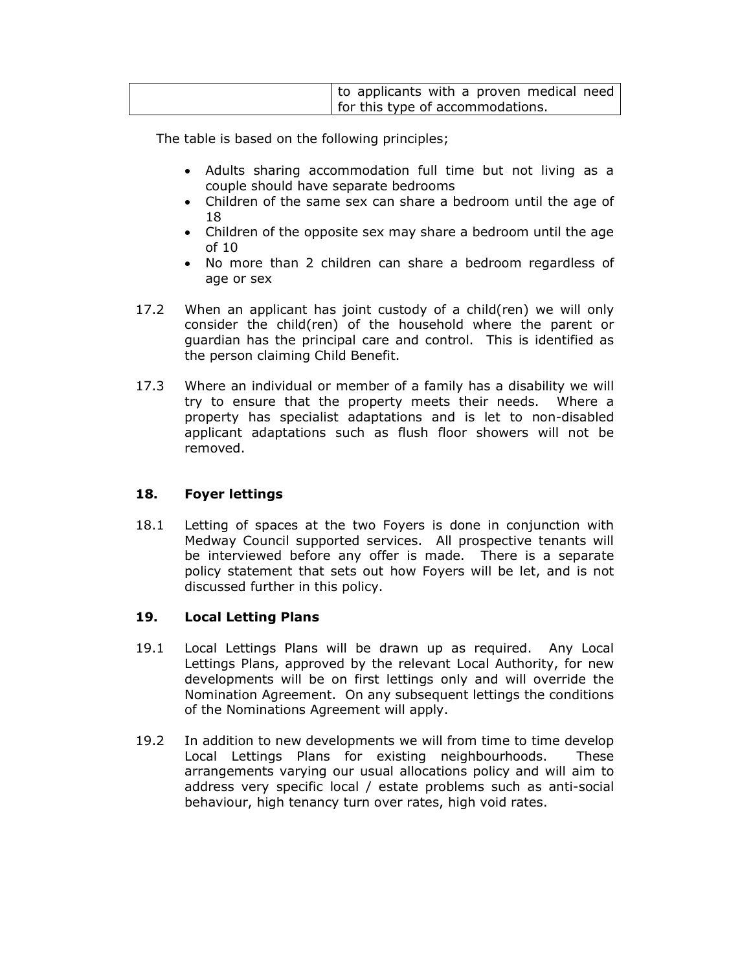| to applicants with a proven medical need |
|------------------------------------------|
| for this type of accommodations.         |

The table is based on the following principles;

- Adults sharing accommodation full time but not living as a couple should have separate bedrooms
- Children of the same sex can share a bedroom until the age of 18
- Children of the opposite sex may share a bedroom until the age of 10
- No more than 2 children can share a bedroom regardless of age or sex
- 17.2 When an applicant has joint custody of a child(ren) we will only consider the child(ren) of the household where the parent or guardian has the principal care and control. This is identified as the person claiming Child Benefit.
- 17.3 Where an individual or member of a family has a disability we will try to ensure that the property meets their needs. Where a property has specialist adaptations and is let to non-disabled applicant adaptations such as flush floor showers will not be removed.

#### 18. Foyer lettings

18.1 Letting of spaces at the two Foyers is done in conjunction with Medway Council supported services. All prospective tenants will be interviewed before any offer is made. There is a separate policy statement that sets out how Foyers will be let, and is not discussed further in this policy.

#### 19. Local Letting Plans

- 19.1 Local Lettings Plans will be drawn up as required. Any Local Lettings Plans, approved by the relevant Local Authority, for new developments will be on first lettings only and will override the Nomination Agreement. On any subsequent lettings the conditions of the Nominations Agreement will apply.
- 19.2 In addition to new developments we will from time to time develop Local Lettings Plans for existing neighbourhoods. These arrangements varying our usual allocations policy and will aim to address very specific local / estate problems such as anti-social behaviour, high tenancy turn over rates, high void rates.